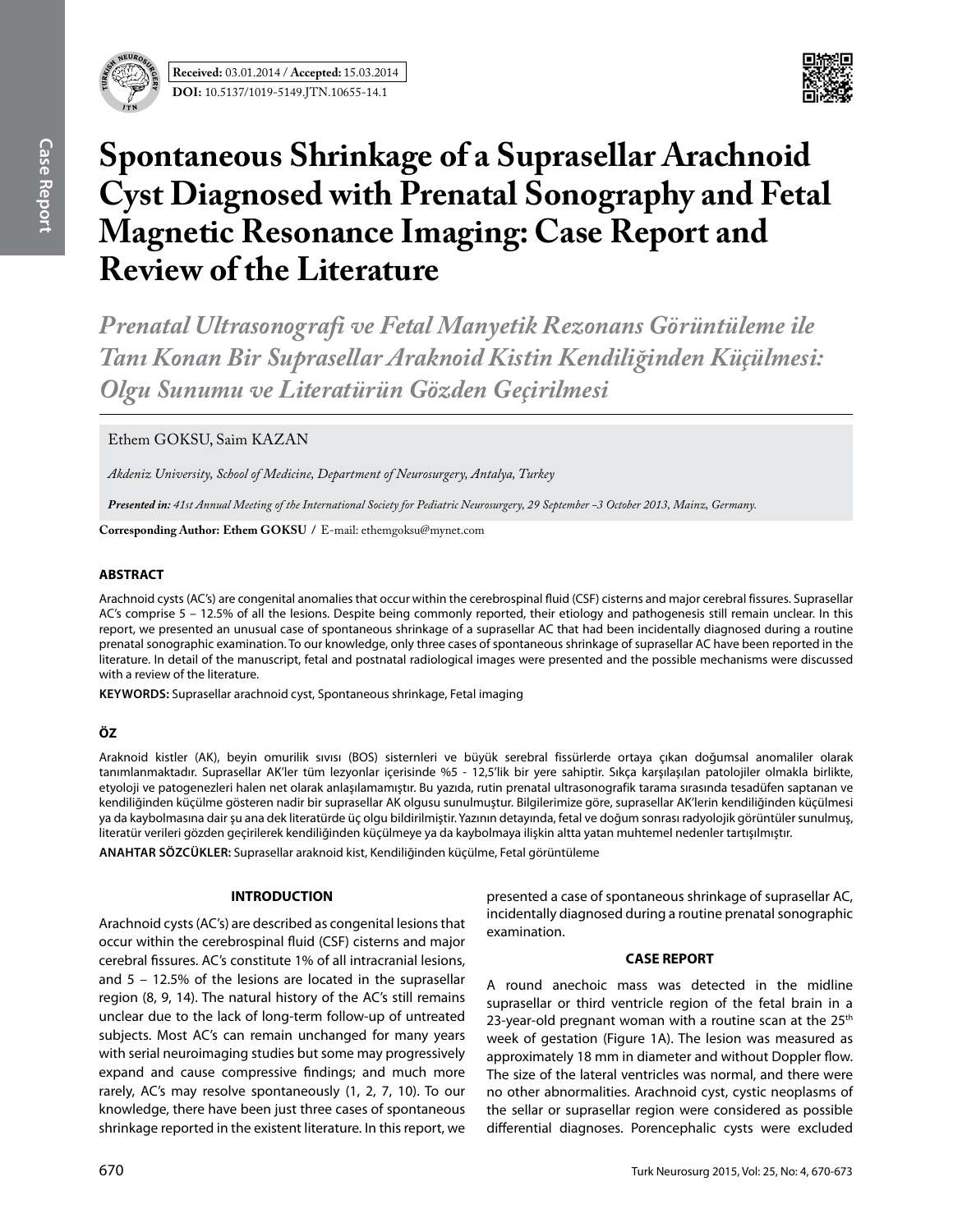



# **Spontaneous Shrinkage of a Suprasellar Arachnoid Cyst Diagnosed with Prenatal Sonography and Fetal Magnetic Resonance Imaging: Case Report and Review of the Literature**

*Prenatal Ultrasonografi ve Fetal Manyetik Rezonans Görüntüleme ile Tanı Konan Bir Suprasellar Araknoid Kistin Kendiliğinden Küçülmesi: Olgu Sunumu ve Literatürün Gözden Geçirilmesi*

# Ethem GOKSU, Saim KAZAN

*Akdeniz University, School of Medicine, Department of Neurosurgery, Antalya, Turkey* 

*Presented in: 41st Annual Meeting of the International Society for Pediatric Neurosurgery, 29 September -3 October 2013, Mainz, Germany.*

**Corresponding Author: Ethem GOksu /** E-mail: ethemgoksu@mynet.com

#### **ABSTRACT**

Arachnoid cysts (AC's) are congenital anomalies that occur within the cerebrospinal fluid (CSF) cisterns and major cerebral fissures. Suprasellar AC's comprise 5 – 12.5% of all the lesions. Despite being commonly reported, their etiology and pathogenesis still remain unclear. In this report, we presented an unusual case of spontaneous shrinkage of a suprasellar AC that had been incidentally diagnosed during a routine prenatal sonographic examination. To our knowledge, only three cases of spontaneous shrinkage of suprasellar AC have been reported in the literature. In detail of the manuscript, fetal and postnatal radiological images were presented and the possible mechanisms were discussed with a review of the literature.

**Keywords:** Suprasellar arachnoid cyst, Spontaneous shrinkage, Fetal imaging

# **ÖZ**

Araknoid kistler (AK), beyin omurilik sıvısı (BOS) sisternleri ve büyük serebral fissürlerde ortaya çıkan doğumsal anomaliler olarak tanımlanmaktadır. Suprasellar AK'ler tüm lezyonlar içerisinde %5 - 12,5'lik bir yere sahiptir. Sıkça karşılaşılan patolojiler olmakla birlikte, etyoloji ve patogenezleri halen net olarak anlaşılamamıştır. Bu yazıda, rutin prenatal ultrasonografik tarama sırasında tesadüfen saptanan ve kendiliğinden küçülme gösteren nadir bir suprasellar AK olgusu sunulmuştur. Bilgilerimize göre, suprasellar AK'lerin kendiliğinden küçülmesi ya da kaybolmasına dair şu ana dek literatürde üç olgu bildirilmiştir. Yazının detayında, fetal ve doğum sonrası radyolojik görüntüler sunulmuş, literatür verileri gözden geçirilerek kendiliğinden küçülmeye ya da kaybolmaya ilişkin altta yatan muhtemel nedenler tartışılmıştır.

**ANAHTAR SÖZCÜKLER:** Suprasellar araknoid kist, Kendiliğinden küçülme, Fetal görüntüleme

## **INTRODUCTION**

Arachnoid cysts (AC's) are described as congenital lesions that occur within the cerebrospinal fluid (CSF) cisterns and major cerebral fissures. AC's constitute 1% of all intracranial lesions, and 5 – 12.5% of the lesions are located in the suprasellar region (8, 9, 14). The natural history of the AC's still remains unclear due to the lack of long-term follow-up of untreated subjects. Most AC's can remain unchanged for many years with serial neuroimaging studies but some may progressively expand and cause compressive findings; and much more rarely, AC's may resolve spontaneously (1, 2, 7, 10). To our knowledge, there have been just three cases of spontaneous shrinkage reported in the existent literature. In this report, we

presented a case of spontaneous shrinkage of suprasellar AC, incidentally diagnosed during a routine prenatal sonographic examination.

## **CASE REPORT**

A round anechoic mass was detected in the midline suprasellar or third ventricle region of the fetal brain in a 23-year-old pregnant woman with a routine scan at the  $25<sup>th</sup>$ week of gestation (Figure 1A). The lesion was measured as approximately 18 mm in diameter and without Doppler flow. The size of the lateral ventricles was normal, and there were no other abnormalities. Arachnoid cyst, cystic neoplasms of the sellar or suprasellar region were considered as possible differential diagnoses. Porencephalic cysts were excluded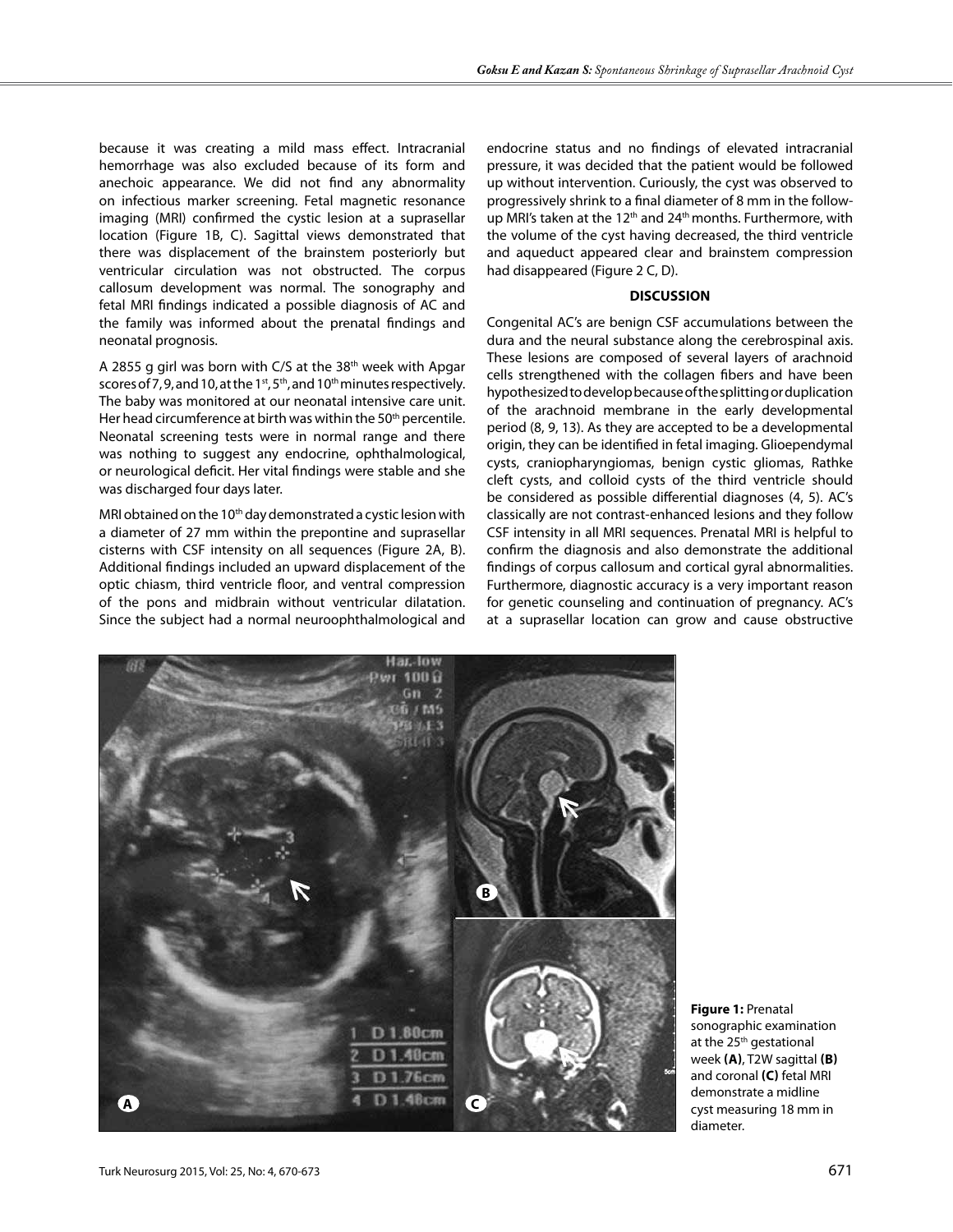because it was creating a mild mass effect. Intracranial hemorrhage was also excluded because of its form and anechoic appearance. We did not find any abnormality on infectious marker screening. Fetal magnetic resonance imaging (MRI) confirmed the cystic lesion at a suprasellar location (Figure 1b, c). Sagittal views demonstrated that there was displacement of the brainstem posteriorly but ventricular circulation was not obstructed. The corpus callosum development was normal. The sonography and fetal MRI findings indicated a possible diagnosis of AC and the family was informed about the prenatal findings and neonatal prognosis.

A 2855 g girl was born with C/S at the 38th week with Apgar scores of 7, 9, and 10, at the 1<sup>st</sup>, 5<sup>th</sup>, and 10<sup>th</sup> minutes respectively. The baby was monitored at our neonatal intensive care unit. Her head circumference at birth was within the 50<sup>th</sup> percentile. Neonatal screening tests were in normal range and there was nothing to suggest any endocrine, ophthalmological, or neurological deficit. Her vital findings were stable and she was discharged four days later.

MRI obtained on the 10<sup>th</sup> day demonstrated a cystic lesion with a diameter of 27 mm within the prepontine and suprasellar cisterns with CSF intensity on all sequences (Figure 2a, b). Additional findings included an upward displacement of the optic chiasm, third ventricle floor, and ventral compression of the pons and midbrain without ventricular dilatation. Since the subject had a normal neuroophthalmological and

endocrine status and no findings of elevated intracranial pressure, it was decided that the patient would be followed up without intervention. Curiously, the cyst was observed to progressively shrink to a final diameter of 8 mm in the followup MRI's taken at the 12<sup>th</sup> and 24<sup>th</sup> months. Furthermore, with the volume of the cyst having decreased, the third ventricle and aqueduct appeared clear and brainstem compression had disappeared (Figure 2 C, D).

#### **DISCUSSION**

Congenital AC's are benign CSF accumulations between the dura and the neural substance along the cerebrospinal axis. These lesions are composed of several layers of arachnoid cells strengthened with the collagen fibers and have been hypothesized to develop because of the splitting or duplication of the arachnoid membrane in the early developmental period (8, 9, 13). As they are accepted to be a developmental origin, they can be identified in fetal imaging. Glioependymal cysts, craniopharyngiomas, benign cystic gliomas, Rathke cleft cysts, and colloid cysts of the third ventricle should be considered as possible differential diagnoses (4, 5). AC's classically are not contrast-enhanced lesions and they follow CSF intensity in all MRI sequences. Prenatal MRI is helpful to confirm the diagnosis and also demonstrate the additional findings of corpus callosum and cortical gyral abnormalities. Furthermore, diagnostic accuracy is a very important reason for genetic counseling and continuation of pregnancy. AC's at a suprasellar location can grow and cause obstructive



**Figure 1:** Prenatal sonographic examination at the 25<sup>th</sup> gestational week **(a)**, T2W sagittal **(b)** and coronal **(c)** fetal MRI demonstrate a midline cyst measuring 18 mm in diameter.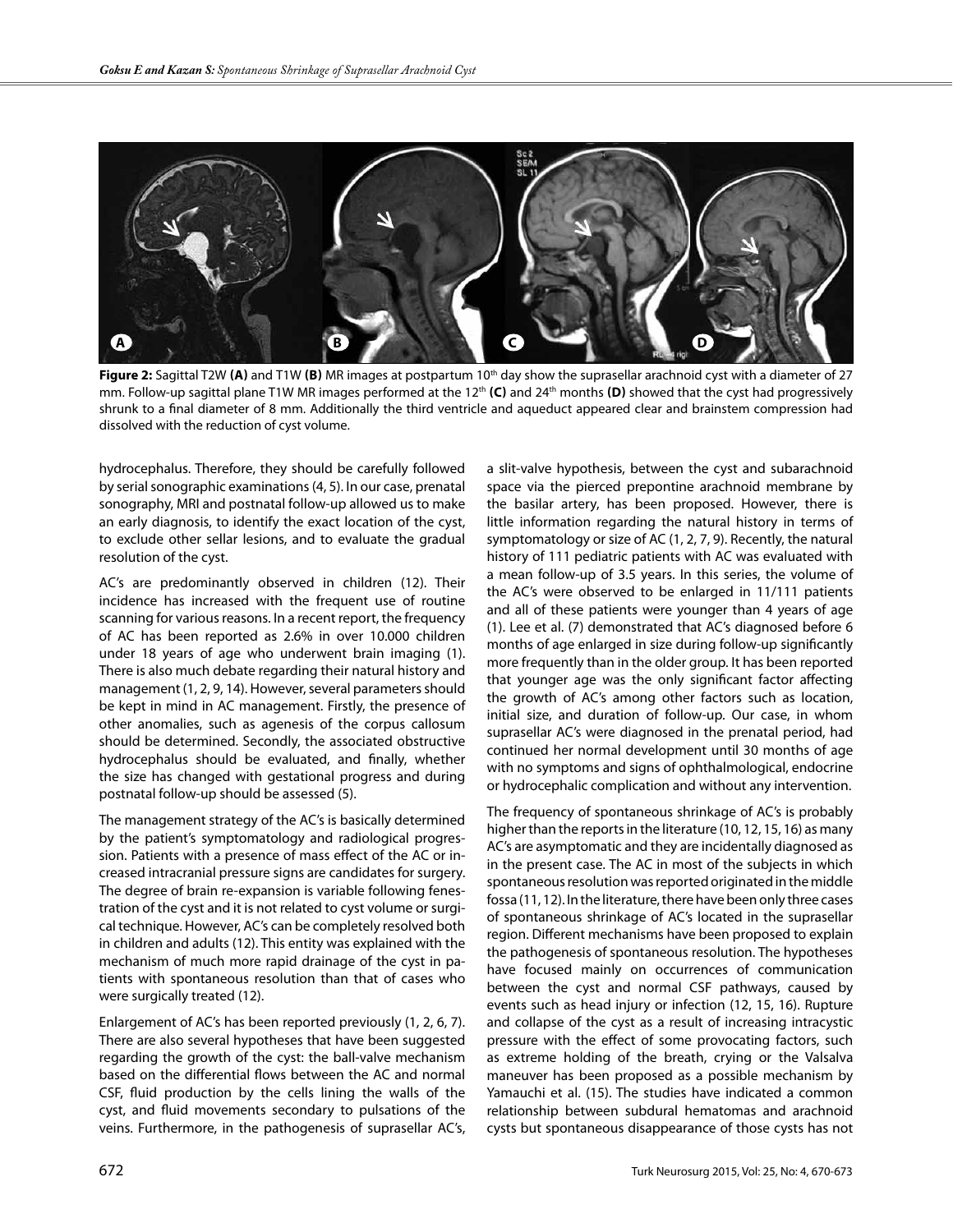

**Figure 2:** Sagittal T2W (A) and T1W (B) MR images at postpartum 10<sup>th</sup> day show the suprasellar arachnoid cyst with a diameter of 27 mm. Follow-up sagittal plane T1W MR images performed at the 12<sup>th</sup> (C) and 24<sup>th</sup> months (D) showed that the cyst had progressively shrunk to a final diameter of 8 mm. Additionally the third ventricle and aqueduct appeared clear and brainstem compression had dissolved with the reduction of cyst volume.

hydrocephalus. Therefore, they should be carefully followed by serial sonographic examinations (4, 5). In our case, prenatal sonography, MRI and postnatal follow-up allowed us to make an early diagnosis, to identify the exact location of the cyst, to exclude other sellar lesions, and to evaluate the gradual resolution of the cyst.

AC's are predominantly observed in children (12). Their incidence has increased with the frequent use of routine scanning for various reasons. In a recent report, the frequency of AC has been reported as 2.6% in over 10.000 children under 18 years of age who underwent brain imaging (1). There is also much debate regarding their natural history and management (1, 2, 9, 14). However, several parameters should be kept in mind in AC management. Firstly, the presence of other anomalies, such as agenesis of the corpus callosum should be determined. Secondly, the associated obstructive hydrocephalus should be evaluated, and finally, whether the size has changed with gestational progress and during postnatal follow-up should be assessed (5).

The management strategy of the AC's is basically determined by the patient's symptomatology and radiological progression. Patients with a presence of mass effect of the AC or increased intracranial pressure signs are candidates for surgery. The degree of brain re-expansion is variable following fenestration of the cyst and it is not related to cyst volume or surgical technique. However, AC's can be completely resolved both in children and adults (12). This entity was explained with the mechanism of much more rapid drainage of the cyst in patients with spontaneous resolution than that of cases who were surgically treated (12).

Enlargement of AC's has been reported previously (1, 2, 6, 7). There are also several hypotheses that have been suggested regarding the growth of the cyst: the ball-valve mechanism based on the differential flows between the AC and normal CSF, fluid production by the cells lining the walls of the cyst, and fluid movements secondary to pulsations of the veins. Furthermore, in the pathogenesis of suprasellar AC's, a slit-valve hypothesis, between the cyst and subarachnoid space via the pierced prepontine arachnoid membrane by the basilar artery, has been proposed. However, there is little information regarding the natural history in terms of symptomatology or size of AC (1, 2, 7, 9). Recently, the natural history of 111 pediatric patients with AC was evaluated with a mean follow-up of 3.5 years. In this series, the volume of the AC's were observed to be enlarged in 11/111 patients and all of these patients were younger than 4 years of age (1). Lee et al. (7) demonstrated that AC's diagnosed before 6 months of age enlarged in size during follow-up significantly more frequently than in the older group. It has been reported that younger age was the only significant factor affecting the growth of AC's among other factors such as location, initial size, and duration of follow-up. Our case, in whom suprasellar AC's were diagnosed in the prenatal period, had continued her normal development until 30 months of age with no symptoms and signs of ophthalmological, endocrine or hydrocephalic complication and without any intervention.

The frequency of spontaneous shrinkage of AC's is probably higher than the reports in the literature (10, 12, 15, 16) as many AC's are asymptomatic and they are incidentally diagnosed as in the present case. The AC in most of the subjects in which spontaneous resolution was reported originated in the middle fossa (11, 12). In the literature, there have been only three cases of spontaneous shrinkage of AC's located in the suprasellar region. Different mechanisms have been proposed to explain the pathogenesis of spontaneous resolution. The hypotheses have focused mainly on occurrences of communication between the cyst and normal CSF pathways, caused by events such as head injury or infection (12, 15, 16). Rupture and collapse of the cyst as a result of increasing intracystic pressure with the effect of some provocating factors, such as extreme holding of the breath, crying or the Valsalva maneuver has been proposed as a possible mechanism by Yamauchi et al. (15). The studies have indicated a common relationship between subdural hematomas and arachnoid cysts but spontaneous disappearance of those cysts has not